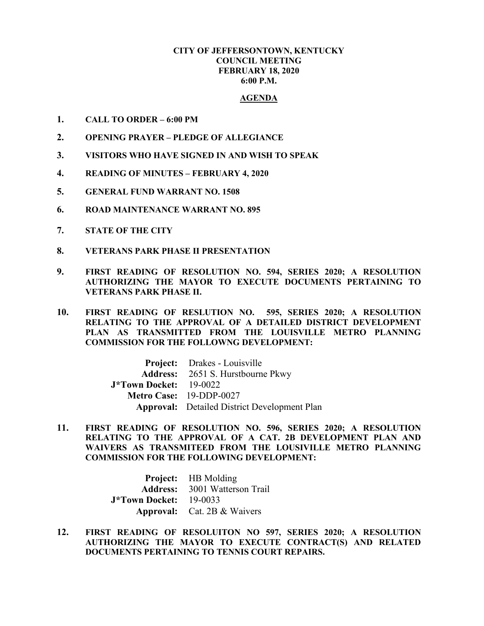## **CITY OF JEFFERSONTOWN, KENTUCKY COUNCIL MEETING FEBRUARY 18, 2020 6:00 P.M.**

## **AGENDA**

- **1. CALL TO ORDER – 6:00 PM**
- **2. OPENING PRAYER – PLEDGE OF ALLEGIANCE**
- **3. VISITORS WHO HAVE SIGNED IN AND WISH TO SPEAK**
- **4. READING OF MINUTES – FEBRUARY 4, 2020**
- **5. GENERAL FUND WARRANT NO. 1508**
- **6. ROAD MAINTENANCE WARRANT NO. 895**
- **7. STATE OF THE CITY**
- **8. VETERANS PARK PHASE II PRESENTATION**
- **9. FIRST READING OF RESOLUTION NO. 594, SERIES 2020; A RESOLUTION AUTHORIZING THE MAYOR TO EXECUTE DOCUMENTS PERTAINING TO VETERANS PARK PHASE II.**
- **10. FIRST READING OF RESLUTION NO. 595, SERIES 2020; A RESOLUTION RELATING TO THE APPROVAL OF A DETAILED DISTRICT DEVELOPMENT PLAN AS TRANSMITTED FROM THE LOUISVILLE METRO PLANNING COMMISSION FOR THE FOLLOWNG DEVELOPMENT:**

|                               | <b>Project:</b> Drakes - Louisville                 |
|-------------------------------|-----------------------------------------------------|
|                               | <b>Address:</b> 2651 S. Hurstbourne Pkwy            |
| <b>J*Town Docket:</b> 19-0022 |                                                     |
|                               | Metro Case: 19-DDP-0027                             |
|                               | <b>Approval:</b> Detailed District Development Plan |

**11. FIRST READING OF RESOLUTION NO. 596, SERIES 2020; A RESOLUTION RELATING TO THE APPROVAL OF A CAT. 2B DEVELOPMENT PLAN AND WAIVERS AS TRANSMITEED FROM THE LOUSIVILLE METRO PLANNING COMMISSION FOR THE FOLLOWING DEVELOPMENT:** 

> **Project:** HB Molding **Address:** 3001 Watterson Trail **J\*Town Docket:** 19-0033 **Approval:** Cat. 2B & Waivers

**12. FIRST READING OF RESOLUITON NO 597, SERIES 2020; A RESOLUTION AUTHORIZING THE MAYOR TO EXECUTE CONTRACT(S) AND RELATED DOCUMENTS PERTAINING TO TENNIS COURT REPAIRS.**